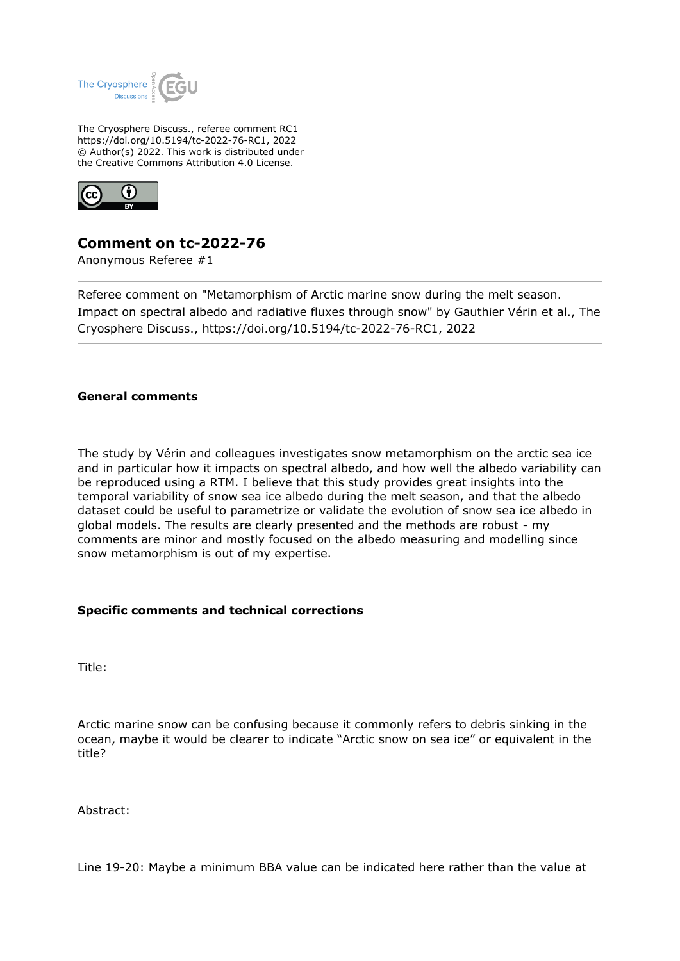

The Cryosphere Discuss., referee comment RC1 https://doi.org/10.5194/tc-2022-76-RC1, 2022 © Author(s) 2022. This work is distributed under the Creative Commons Attribution 4.0 License.



## **Comment on tc-2022-76**

Anonymous Referee #1

Referee comment on "Metamorphism of Arctic marine snow during the melt season. Impact on spectral albedo and radiative fluxes through snow" by Gauthier Vérin et al., The Cryosphere Discuss., https://doi.org/10.5194/tc-2022-76-RC1, 2022

## **General comments**

The study by Vérin and colleagues investigates snow metamorphism on the arctic sea ice and in particular how it impacts on spectral albedo, and how well the albedo variability can be reproduced using a RTM. I believe that this study provides great insights into the temporal variability of snow sea ice albedo during the melt season, and that the albedo dataset could be useful to parametrize or validate the evolution of snow sea ice albedo in global models. The results are clearly presented and the methods are robust - my comments are minor and mostly focused on the albedo measuring and modelling since snow metamorphism is out of my expertise.

## **Specific comments and technical corrections**

Title:

Arctic marine snow can be confusing because it commonly refers to debris sinking in the ocean, maybe it would be clearer to indicate "Arctic snow on sea ice" or equivalent in the title?

Abstract:

Line 19-20: Maybe a minimum BBA value can be indicated here rather than the value at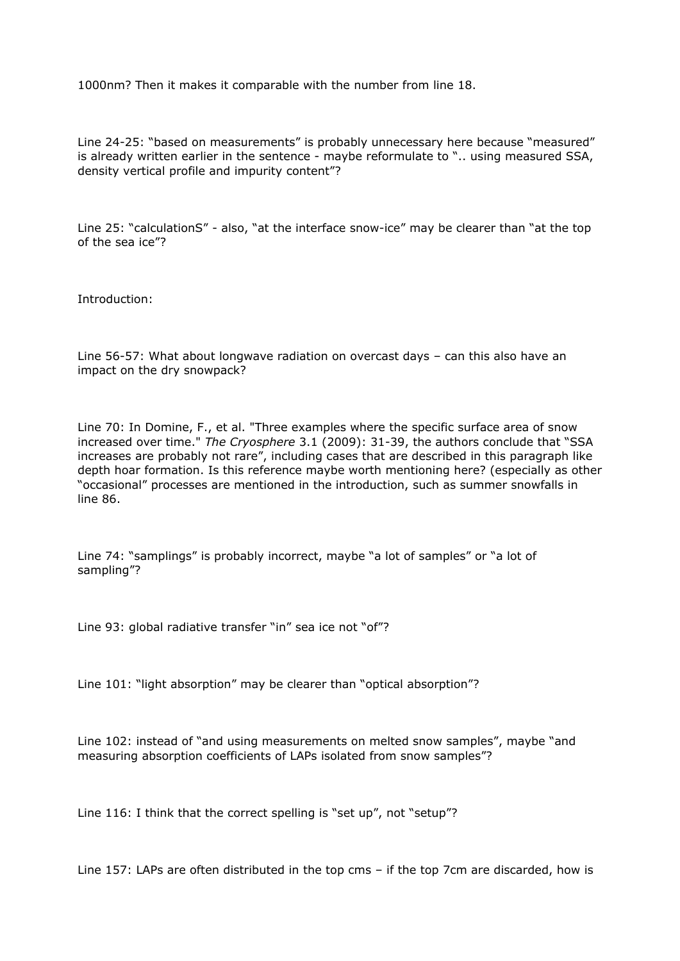1000nm? Then it makes it comparable with the number from line 18.

Line 24-25: "based on measurements" is probably unnecessary here because "measured" is already written earlier in the sentence - maybe reformulate to ".. using measured SSA, density vertical profile and impurity content"?

Line 25: "calculationS" - also, "at the interface snow-ice" may be clearer than "at the top of the sea ice"?

Introduction:

Line 56-57: What about longwave radiation on overcast days – can this also have an impact on the dry snowpack?

Line 70: In Domine, F., et al. "Three examples where the specific surface area of snow increased over time." *The Cryosphere* 3.1 (2009): 31-39, the authors conclude that "SSA increases are probably not rare", including cases that are described in this paragraph like depth hoar formation. Is this reference maybe worth mentioning here? (especially as other "occasional" processes are mentioned in the introduction, such as summer snowfalls in line 86.

Line 74: "samplings" is probably incorrect, maybe "a lot of samples" or "a lot of sampling"?

Line 93: global radiative transfer "in" sea ice not "of"?

Line 101: "light absorption" may be clearer than "optical absorption"?

Line 102: instead of "and using measurements on melted snow samples", maybe "and measuring absorption coefficients of LAPs isolated from snow samples"?

Line 116: I think that the correct spelling is "set up", not "setup"?

Line 157: LAPs are often distributed in the top cms – if the top 7cm are discarded, how is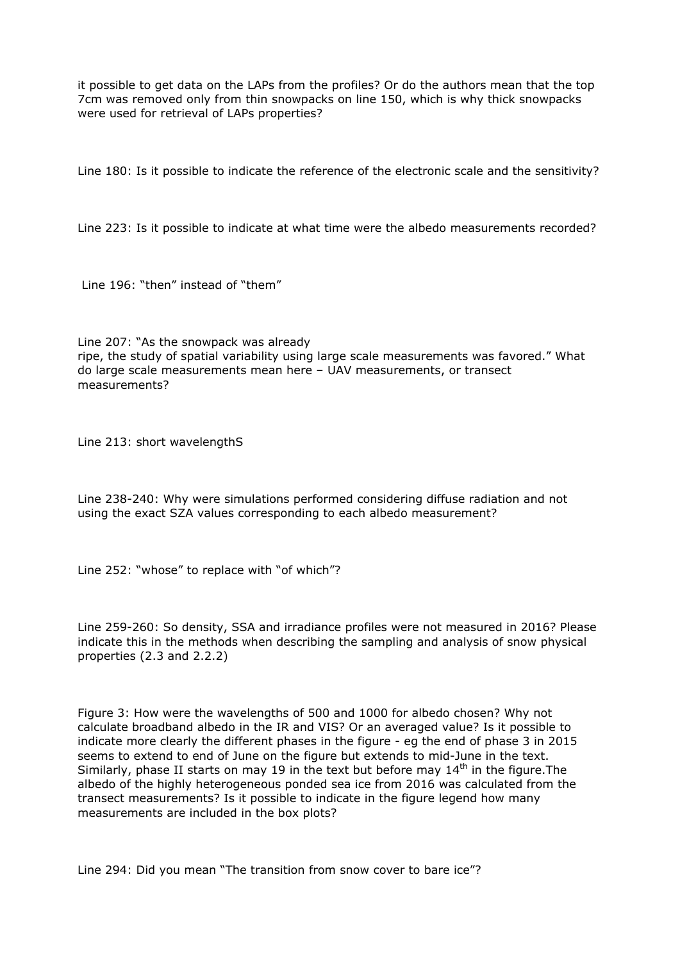it possible to get data on the LAPs from the profiles? Or do the authors mean that the top 7cm was removed only from thin snowpacks on line 150, which is why thick snowpacks were used for retrieval of LAPs properties?

Line 180: Is it possible to indicate the reference of the electronic scale and the sensitivity?

Line 223: Is it possible to indicate at what time were the albedo measurements recorded?

Line 196: "then" instead of "them"

Line 207: "As the snowpack was already ripe, the study of spatial variability using large scale measurements was favored." What do large scale measurements mean here – UAV measurements, or transect measurements?

Line 213: short wavelengthS

Line 238-240: Why were simulations performed considering diffuse radiation and not using the exact SZA values corresponding to each albedo measurement?

Line 252: "whose" to replace with "of which"?

Line 259-260: So density, SSA and irradiance profiles were not measured in 2016? Please indicate this in the methods when describing the sampling and analysis of snow physical properties (2.3 and 2.2.2)

Figure 3: How were the wavelengths of 500 and 1000 for albedo chosen? Why not calculate broadband albedo in the IR and VIS? Or an averaged value? Is it possible to indicate more clearly the different phases in the figure - eg the end of phase 3 in 2015 seems to extend to end of June on the figure but extends to mid-June in the text. Similarly, phase II starts on may 19 in the text but before may  $14<sup>th</sup>$  in the figure. The albedo of the highly heterogeneous ponded sea ice from 2016 was calculated from the transect measurements? Is it possible to indicate in the figure legend how many measurements are included in the box plots?

Line 294: Did you mean "The transition from snow cover to bare ice"?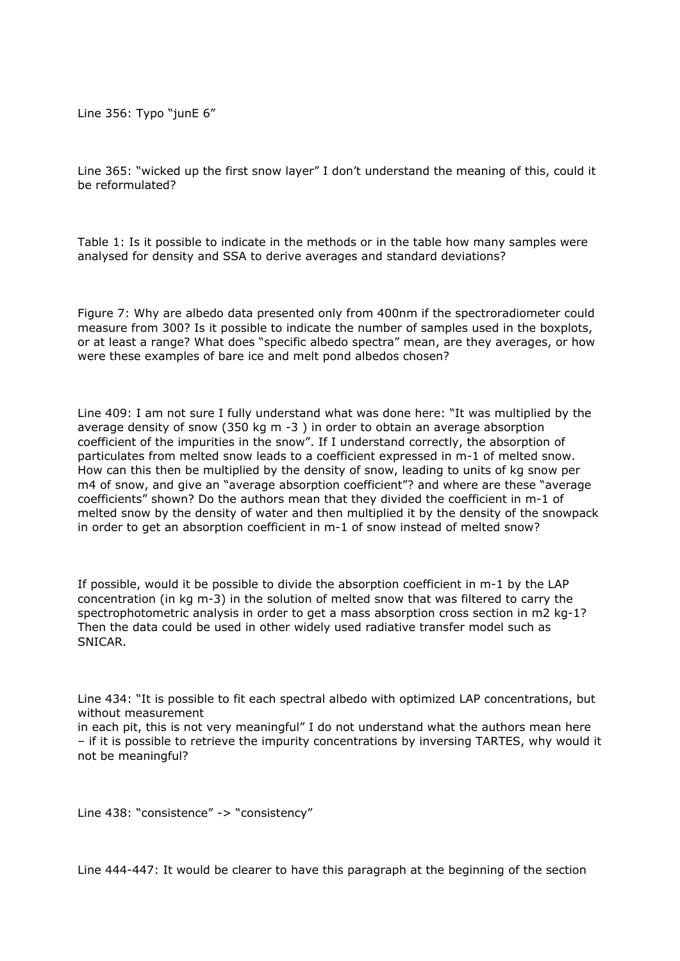Line 356: Typo "junE 6"

Line 365: "wicked up the first snow layer" I don't understand the meaning of this, could it be reformulated?

Table 1: Is it possible to indicate in the methods or in the table how many samples were analysed for density and SSA to derive averages and standard deviations?

Figure 7: Why are albedo data presented only from 400nm if the spectroradiometer could measure from 300? Is it possible to indicate the number of samples used in the boxplots, or at least a range? What does "specific albedo spectra" mean, are they averages, or how were these examples of bare ice and melt pond albedos chosen?

Line 409: I am not sure I fully understand what was done here: "It was multiplied by the average density of snow (350 kg m -3 ) in order to obtain an average absorption coefficient of the impurities in the snow". If I understand correctly, the absorption of particulates from melted snow leads to a coefficient expressed in m-1 of melted snow. How can this then be multiplied by the density of snow, leading to units of kg snow per m4 of snow, and give an "average absorption coefficient"? and where are these "average coefficients" shown? Do the authors mean that they divided the coefficient in m-1 of melted snow by the density of water and then multiplied it by the density of the snowpack in order to get an absorption coefficient in m-1 of snow instead of melted snow?

If possible, would it be possible to divide the absorption coefficient in m-1 by the LAP concentration (in kg m-3) in the solution of melted snow that was filtered to carry the spectrophotometric analysis in order to get a mass absorption cross section in m2 kg-1? Then the data could be used in other widely used radiative transfer model such as SNICAR.

Line 434: "It is possible to fit each spectral albedo with optimized LAP concentrations, but without measurement

in each pit, this is not very meaningful" I do not understand what the authors mean here – if it is possible to retrieve the impurity concentrations by inversing TARTES, why would it not be meaningful?

Line 438: "consistence" -> "consistency"

Line 444-447: It would be clearer to have this paragraph at the beginning of the section